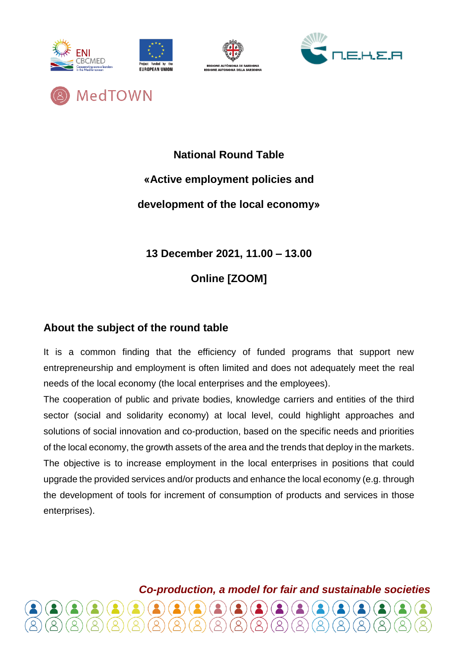





MedTOWN

# **National Round Table «Active employment policies and development of the local economy»**

**13 December 2021, 11.00 – 13.00**

**Online [ZOOM]**

## **About the subject of the round table**

It is a common finding that the efficiency of funded programs that support new entrepreneurship and employment is often limited and does not adequately meet the real needs of the local economy (the local enterprises and the employees).

The cooperation of public and private bodies, knowledge carriers and entities of the third sector (social and solidarity economy) at local level, could highlight approaches and solutions of social innovation and co-production, based on the specific needs and priorities of the local economy, the growth assets of the area and the trends that deploy in the markets. The objective is to increase employment in the local enterprises in positions that could upgrade the provided services and/or products and enhance the local economy (e.g. through the development of tools for increment of consumption of products and services in those enterprises).

*Co-production, a model for fair and sustainable societies*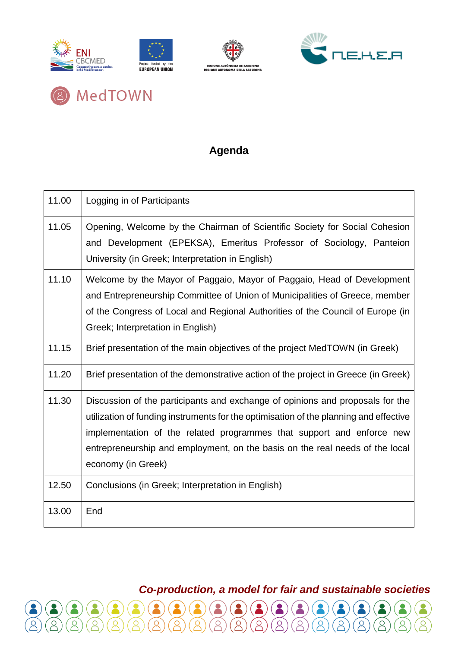





MedTOWN

 $\beta$ 

## **Agenda**

| 11.00 | Logging in of Participants                                                                                                                                                                                                                                                                                                                            |
|-------|-------------------------------------------------------------------------------------------------------------------------------------------------------------------------------------------------------------------------------------------------------------------------------------------------------------------------------------------------------|
| 11.05 | Opening, Welcome by the Chairman of Scientific Society for Social Cohesion<br>and Development (EPEKSA), Emeritus Professor of Sociology, Panteion<br>University (in Greek; Interpretation in English)                                                                                                                                                 |
| 11.10 | Welcome by the Mayor of Paggaio, Mayor of Paggaio, Head of Development<br>and Entrepreneurship Committee of Union of Municipalities of Greece, member<br>of the Congress of Local and Regional Authorities of the Council of Europe (in<br>Greek; Interpretation in English)                                                                          |
| 11.15 | Brief presentation of the main objectives of the project MedTOWN (in Greek)                                                                                                                                                                                                                                                                           |
| 11.20 | Brief presentation of the demonstrative action of the project in Greece (in Greek)                                                                                                                                                                                                                                                                    |
| 11.30 | Discussion of the participants and exchange of opinions and proposals for the<br>utilization of funding instruments for the optimisation of the planning and effective<br>implementation of the related programmes that support and enforce new<br>entrepreneurship and employment, on the basis on the real needs of the local<br>economy (in Greek) |
| 12.50 | Conclusions (in Greek; Interpretation in English)                                                                                                                                                                                                                                                                                                     |
| 13.00 | End                                                                                                                                                                                                                                                                                                                                                   |

*Co-production, a model for fair and sustainable societies*

 $\beta$ 

 $\beta$ 

 $\beta$ 

 $\beta$ 

 $\beta$ 

 $\beta$ 

 $\beta$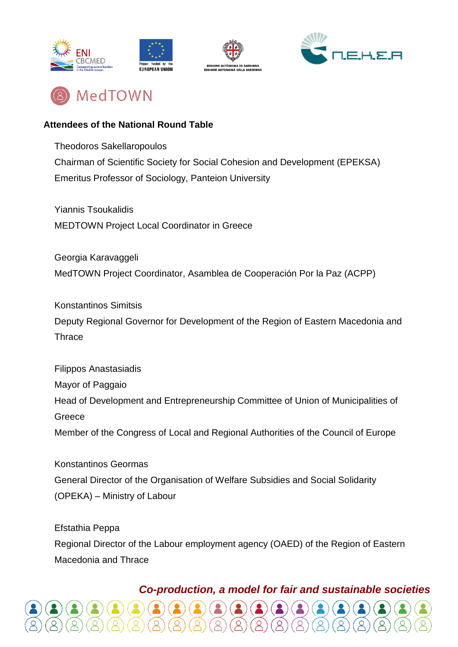







#### **Attendees of the National Round Table**

Theodoros Sakellaropoulos Chairman of Scientific Society for Social Cohesion and Development (EPEKSA) Emeritus Professor of Sociology, Panteion University

Yiannis Tsoukalidis MEDTOWN Project Local Coordinator in Greece

Georgia Karavaggeli MedTOWN Project Coordinator, Asamblea de Cooperación Por la Paz (ACPP)

Konstantinos Simitsis Deputy Regional Governor for Development of the Region of Eastern Macedonia and **Thrace** 

Filippos Anastasiadis Mayor of Paggaio Head of Development and Entrepreneurship Committee of Union of Municipalities of Greece Member of the Congress of Local and Regional Authorities of the Council of Europe

Konstantinos Geormas General Director of the Organisation of Welfare Subsidies and Social Solidarity (OPEKA) – Ministry of Labour

Efstathia Peppa Regional Director of the Labour employment agency (OAED) of the Region of Eastern Macedonia and Thrace

### *Co-production, a model for fair and sustainable societies*